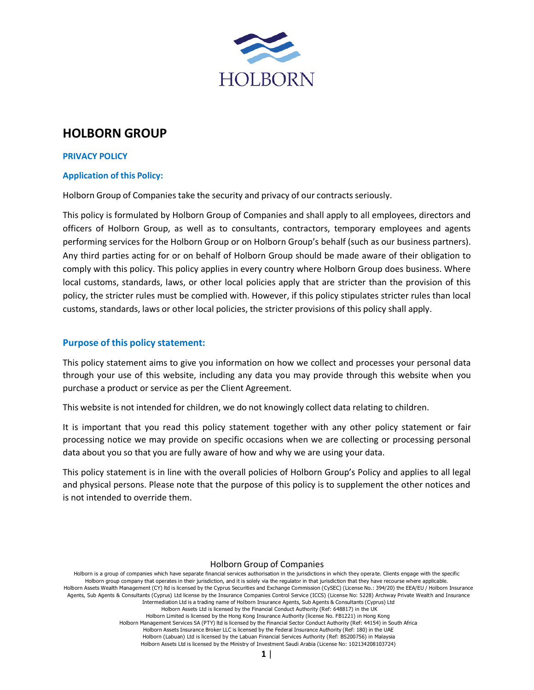

# **HOLBORN GROUP**

### **PRIVACY POLICY**

### **Application of this Policy:**

Holborn Group of Companies take the security and privacy of our contracts seriously.

This policy is formulated by Holborn Group of Companies and shall apply to all employees, directors and officers of Holborn Group, as well as to consultants, contractors, temporary employees and agents performing services for the Holborn Group or on Holborn Group's behalf (such as our business partners). Any third parties acting for or on behalf of Holborn Group should be made aware of their obligation to comply with this policy. This policy applies in every country where Holborn Group does business. Where local customs, standards, laws, or other local policies apply that are stricter than the provision of this policy, the stricter rules must be complied with. However, if this policy stipulates stricter rules than local customs, standards, laws or other local policies, the stricter provisions of this policy shall apply.

### **Purpose of this policy statement:**

This policy statement aims to give you information on how we collect and processes your personal data through your use of this website, including any data you may provide through this website when you purchase a product or service as per the Client Agreement.

This website is not intended for children, we do not knowingly collect data relating to children.

It is important that you read this policy statement together with any other policy statement or fair processing notice we may provide on specific occasions when we are collecting or processing personal data about you so that you are fully aware of how and why we are using your data.

This policy statement is in line with the overall policies of Holborn Group's Policy and applies to all legal and physical persons. Please note that the purpose of this policy is to supplement the other notices and is not intended to override them.

#### Holborn Group of Companies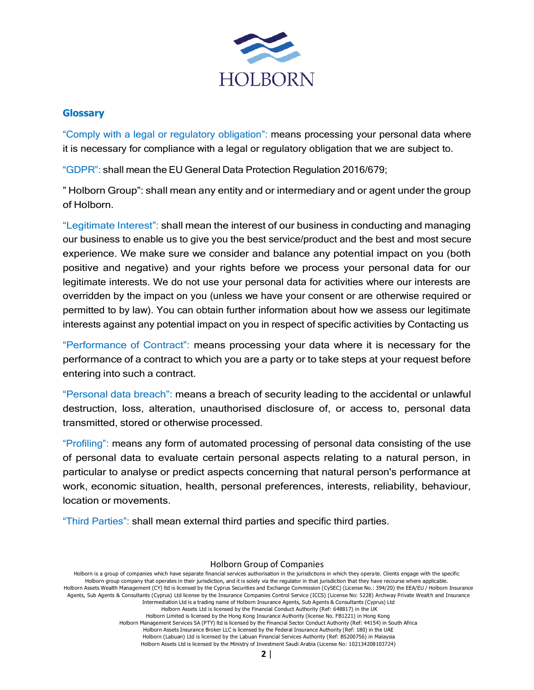

### **Glossary**

"Comply with a legal or regulatory obligation": means processing your personal data where it is necessary for compliance with a legal or regulatory obligation that we are subject to.

"GDPR": shall mean the EU General Data Protection Regulation 2016/679;

" Holborn Group": shall mean any entity and or intermediary and or agent under the group of Holborn.

"Legitimate Interest": shall mean the interest of our business in conducting and managing our business to enable us to give you the best service/product and the best and most secure experience. We make sure we consider and balance any potential impact on you (both positive and negative) and your rights before we process your personal data for our legitimate interests. We do not use your personal data for activities where our interests are overridden by the impact on you (unless we have your consent or are otherwise required or permitted to by law). You can obtain further information about how we assess our legitimate interests against any potential impact on you in respect of specific activities by Contacting us

"Performance of Contract": means processing your data where it is necessary for the performance of a contract to which you are a party or to take steps at your request before entering into such a contract.

"Personal data breach": means a breach of security leading to the accidental or unlawful destruction, loss, alteration, unauthorised disclosure of, or access to, personal data transmitted, stored or otherwise processed.

"Profiling": means any form of automated processing of personal data consisting of the use of personal data to evaluate certain personal aspects relating to a natural person, in particular to analyse or predict aspects concerning that natural person's performance at work, economic situation, health, personal preferences, interests, reliability, behaviour, location or movements.

"Third Parties": shall mean external third parties and specific third parties.

#### Holborn Group of Companies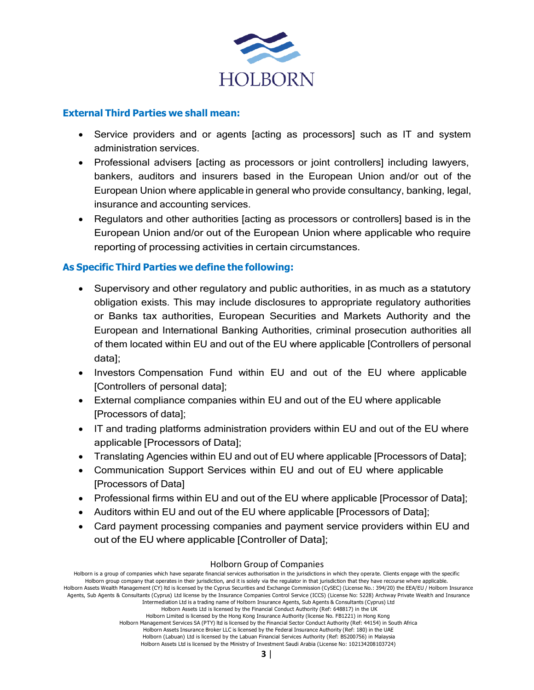

### **External Third Parties we shall mean:**

- Service providers and or agents [acting as processors] such as IT and system administration services.
- Professional advisers [acting as processors or joint controllers] including lawyers, bankers, auditors and insurers based in the European Union and/or out of the European Union where applicable in general who provide consultancy, banking, legal, insurance and accounting services.
- Regulators and other authorities [acting as processors or controllers] based is in the European Union and/or out of the European Union where applicable who require reporting of processing activities in certain circumstances.

### **As Specific Third Parties we define the following:**

- Supervisory and other regulatory and public authorities, in as much as a statutory obligation exists. This may include disclosures to appropriate regulatory authorities or Banks tax authorities, European Securities and Markets Authority and the European and International Banking Authorities, criminal prosecution authorities all of them located within EU and out of the EU where applicable [Controllers of personal data];
- Investors Compensation Fund within EU and out of the EU where applicable [Controllers of personal data];
- External compliance companies within EU and out of the EU where applicable [Processors of data];
- IT and trading platforms administration providers within EU and out of the EU where applicable [Processors of Data];
- Translating Agencies within EU and out of EU where applicable [Processors of Data];
- Communication Support Services within EU and out of EU where applicable [Processors of Data]
- Professional firms within EU and out of the EU where applicable [Processor of Data];
- Auditors within EU and out of the EU where applicable [Processors of Data];
- Card payment processing companies and payment service providers within EU and out of the EU where applicable [Controller of Data];

### Holborn Group of Companies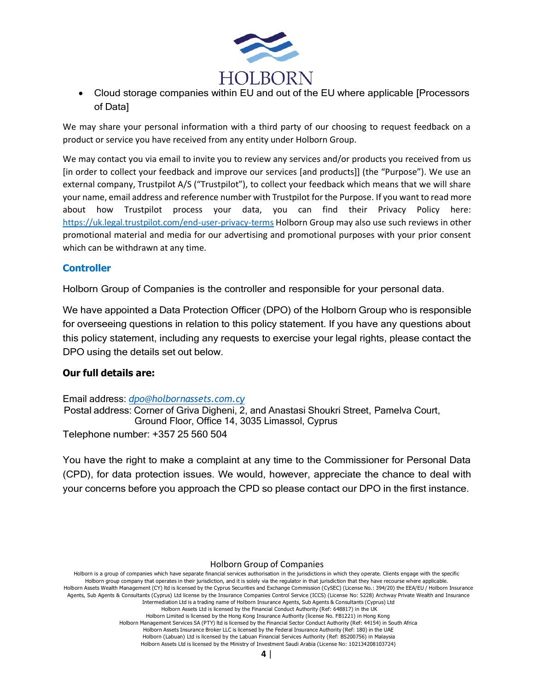

 Cloud storage companies within EU and out of the EU where applicable [Processors of Data]

We may share your personal information with a third party of our choosing to request feedback on a product or service you have received from any entity under Holborn Group.

We may contact you via email to invite you to review any services and/or products you received from us [in order to collect your feedback and improve our services [and products]] (the "Purpose"). We use an external company, Trustpilot A/S ("Trustpilot"), to collect your feedback which means that we will share your name, email address and reference number with Trustpilot forthe Purpose. If you want to read more about how Trustpilot process your data, you can find their Privacy Policy here: https://uk.legal.trustpilot.com/end-user-privacy-terms Holborn Group may also use such reviews in other promotional material and media for our advertising and promotional purposes with your prior consent which can be withdrawn at any time.

### **Controller**

Holborn Group of Companies is the controller and responsible for your personal data.

We have appointed a Data Protection Officer (DPO) of the Holborn Group who is responsible for overseeing questions in relation to this policy statement. If you have any questions about this policy statement, including any requests to exercise your legal rights, please contact the DPO using the details set out below.

### **Our full details are:**

Email address: *[dpo@holbornassets.com.cy](mailto:dpo@holbornassets.com.cy)* Postal address: Corner of Griva Digheni, 2, and Anastasi Shoukri Street, Pamelva Court, Ground Floor, Office 14, 3035 Limassol, Cyprus Telephone number: +357 25 560 504

You have the right to make a complaint at any time to the Commissioner for Personal Data (CPD), for data protection issues. We would, however, appreciate the chance to deal with your concerns before you approach the CPD so please contact our DPO in the first instance.

#### Holborn Group of Companies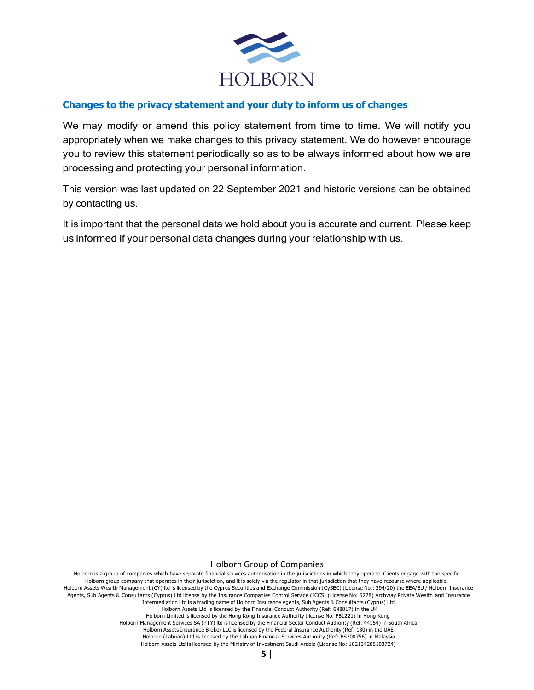

### **Changes to the privacy statement and your duty to inform us of changes**

We may modify or amend this policy statement from time to time. We will notify you appropriately when we make changes to this privacy statement. We do however encourage you to review this statement periodically so as to be always informed about how we are processing and protecting your personal information.

This version was last updated on 22 September 2021 and historic versions can be obtained by contacting us.

It is important that the personal data we hold about you is accurate and current. Please keep us informed if your personal data changes during your relationship with us.

#### Holborn Group of Companies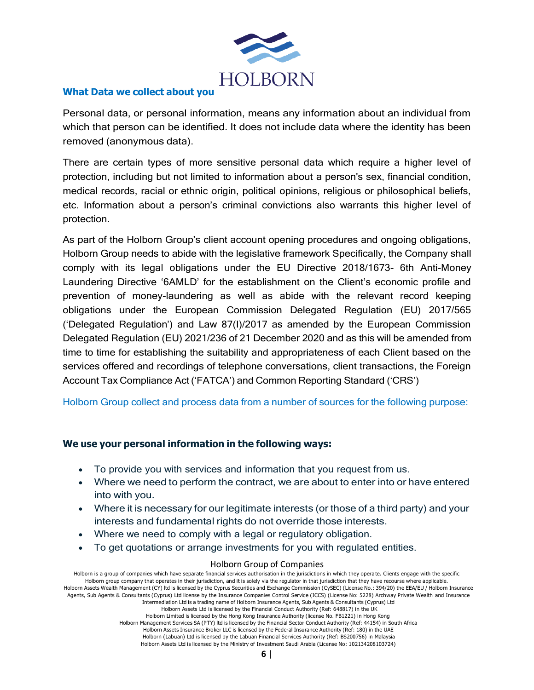

### **What Data we collect about you**

Personal data, or personal information, means any information about an individual from which that person can be identified. It does not include data where the identity has been removed (anonymous data).

There are certain types of more sensitive personal data which require a higher level of protection, including but not limited to information about a person's sex, financial condition, medical records, racial or ethnic origin, political opinions, religious or philosophical beliefs, etc. Information about a person's criminal convictions also warrants this higher level of protection.

As part of the Holborn Group's client account opening procedures and ongoing obligations, Holborn Group needs to abide with the legislative framework Specifically, the Company shall comply with its legal obligations under the EU Directive 2018/1673- 6th Anti-Money Laundering Directive '6AMLD' for the establishment on the Client's economic profile and prevention of money-laundering as well as abide with the relevant record keeping obligations under the European Commission Delegated Regulation (EU) 2017/565 ('Delegated Regulation') and Law 87(I)/2017 as amended by the European Commission Delegated Regulation (EU) 2021/236 of 21 December 2020 and as this will be amended from time to time for establishing the suitability and appropriateness of each Client based on the services offered and recordings of telephone conversations, client transactions, the Foreign Account Tax Compliance Act ('FATCA') and Common Reporting Standard ('CRS')

Holborn Group collect and process data from a number of sources for the following purpose:

### **We use your personal information in the following ways:**

- To provide you with services and information that you request from us.
- Where we need to perform the contract, we are about to enter into or have entered into with you.
- Where it is necessary for our legitimate interests (or those of a third party) and your interests and fundamental rights do not override those interests.
- Where we need to comply with a legal or regulatory obligation.
- To get quotations or arrange investments for you with regulated entities.

#### Holborn Group of Companies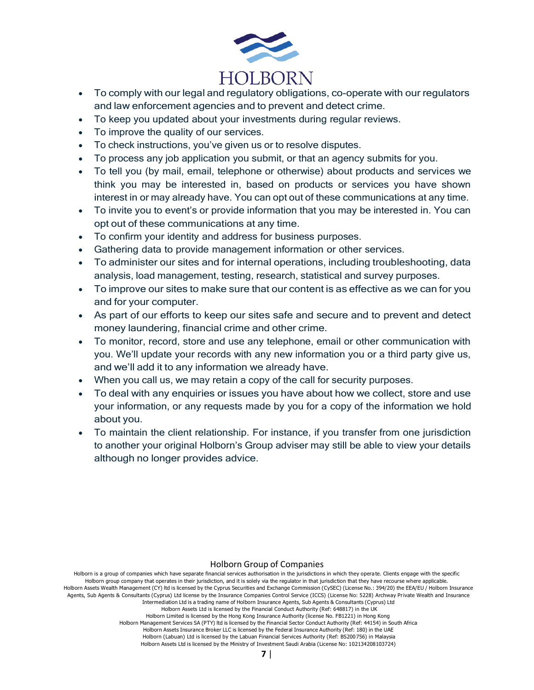

- To comply with our legal and regulatory obligations, co-operate with our regulators and law enforcement agencies and to prevent and detect crime.
- To keep you updated about your investments during regular reviews.
- To improve the quality of our services.
- To check instructions, you've given us or to resolve disputes.
- To process any job application you submit, or that an agency submits for you.
- To tell you (by mail, email, telephone or otherwise) about products and services we think you may be interested in, based on products or services you have shown interest in or may already have. You can opt out of these communications at any time.
- To invite you to event's or provide information that you may be interested in. You can opt out of these communications at any time.
- To confirm your identity and address for business purposes.
- Gathering data to provide management information or other services.
- To administer our sites and for internal operations, including troubleshooting, data analysis, load management, testing, research, statistical and survey purposes.
- To improve our sites to make sure that our content is as effective as we can for you and for your computer.
- As part of our efforts to keep our sites safe and secure and to prevent and detect money laundering, financial crime and other crime.
- To monitor, record, store and use any telephone, email or other communication with you. We'll update your records with any new information you or a third party give us, and we'll add it to any information we already have.
- When you call us, we may retain a copy of the call for security purposes.
- To deal with any enquiries or issues you have about how we collect, store and use your information, or any requests made by you for a copy of the information we hold about you.
- To maintain the client relationship. For instance, if you transfer from one jurisdiction to another your original Holborn's Group adviser may still be able to view your details although no longer provides advice.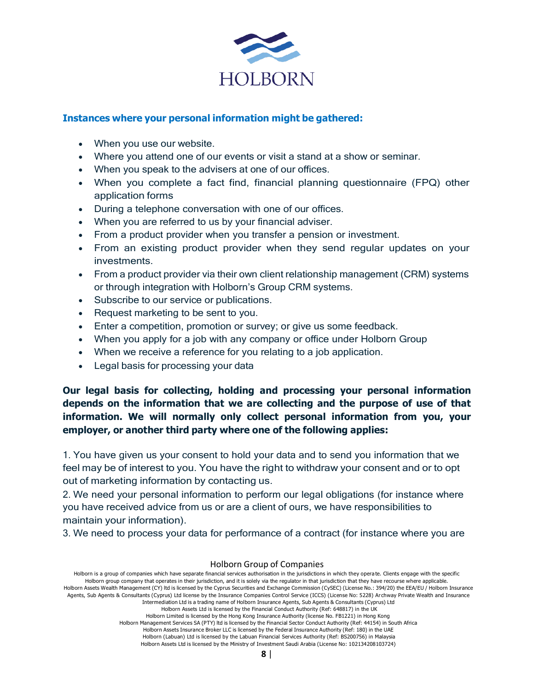

### **Instances where your personal information might be gathered:**

- When you use our website.
- Where you attend one of our events or visit a stand at a show or seminar.
- When you speak to the advisers at one of our offices.
- When you complete a fact find, financial planning questionnaire (FPQ) other application forms
- During a telephone conversation with one of our offices.
- When you are referred to us by your financial adviser.
- From a product provider when you transfer a pension or investment.
- From an existing product provider when they send regular updates on your investments.
- From a product provider via their own client relationship management (CRM) systems or through integration with Holborn's Group CRM systems.
- Subscribe to our service or publications.
- Request marketing to be sent to you.
- Enter a competition, promotion or survey; or give us some feedback.
- When you apply for a job with any company or office under Holborn Group
- When we receive a reference for you relating to a job application.
- Legal basis for processing your data

## **Our legal basis for collecting, holding and processing your personal information depends on the information that we are collecting and the purpose of use of that information. We will normally only collect personal information from you, your employer, or another third party where one of the following applies:**

1. You have given us your consent to hold your data and to send you information that we feel may be of interest to you. You have the right to withdraw your consent and or to opt out of marketing information by contacting us.

2. We need your personal information to perform our legal obligations (for instance where you have received advice from us or are a client of ours, we have responsibilities to maintain your information).

3. We need to process your data for performance of a contract (for instance where you are

#### Holborn Group of Companies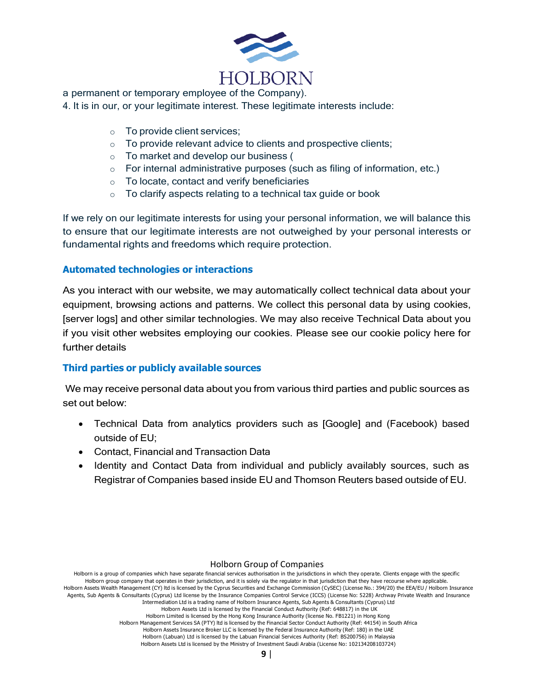

a permanent or temporary employee of the Company).

4. It is in our, or your legitimate interest. These legitimate interests include:

- o To provide client services;
- o To provide relevant advice to clients and prospective clients;
- o To market and develop our business (
- $\circ$  For internal administrative purposes (such as filing of information, etc.)
- o To locate, contact and verify beneficiaries
- $\circ$  To clarify aspects relating to a technical tax guide or book

If we rely on our legitimate interests for using your personal information, we will balance this to ensure that our legitimate interests are not outweighed by your personal interests or fundamental rights and freedoms which require protection.

### **Automated technologies or interactions**

As you interact with our website, we may automatically collect technical data about your equipment, browsing actions and patterns. We collect this personal data by using cookies, [server logs] and other similar technologies. We may also receive Technical Data about you if you visit other websites employing our cookies. Please see our cookie policy here for further details

### **Third parties or publicly available sources**

We may receive personal data about you from various third parties and public sources as set out below:

- Technical Data from analytics providers such as [Google] and (Facebook) based outside of EU;
- Contact, Financial and Transaction Data
- Identity and Contact Data from individual and publicly availably sources, such as Registrar of Companies based inside EU and Thomson Reuters based outside of EU.

#### Holborn Group of Companies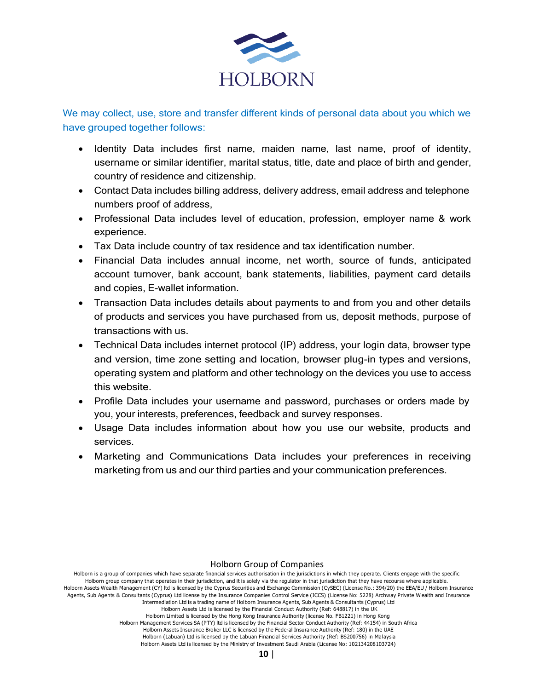

We may collect, use, store and transfer different kinds of personal data about you which we have grouped together follows:

- Identity Data includes first name, maiden name, last name, proof of identity, username or similar identifier, marital status, title, date and place of birth and gender, country of residence and citizenship.
- Contact Data includes billing address, delivery address, email address and telephone numbers proof of address,
- Professional Data includes level of education, profession, employer name & work experience.
- Tax Data include country of tax residence and tax identification number.
- Financial Data includes annual income, net worth, source of funds, anticipated account turnover, bank account, bank statements, liabilities, payment card details and copies, E-wallet information.
- Transaction Data includes details about payments to and from you and other details of products and services you have purchased from us, deposit methods, purpose of transactions with us.
- Technical Data includes internet protocol (IP) address, your login data, browser type and version, time zone setting and location, browser plug-in types and versions, operating system and platform and other technology on the devices you use to access this website.
- Profile Data includes your username and password, purchases or orders made by you, your interests, preferences, feedback and survey responses.
- Usage Data includes information about how you use our website, products and services.
- Marketing and Communications Data includes your preferences in receiving marketing from us and our third parties and your communication preferences.

#### Holborn Group of Companies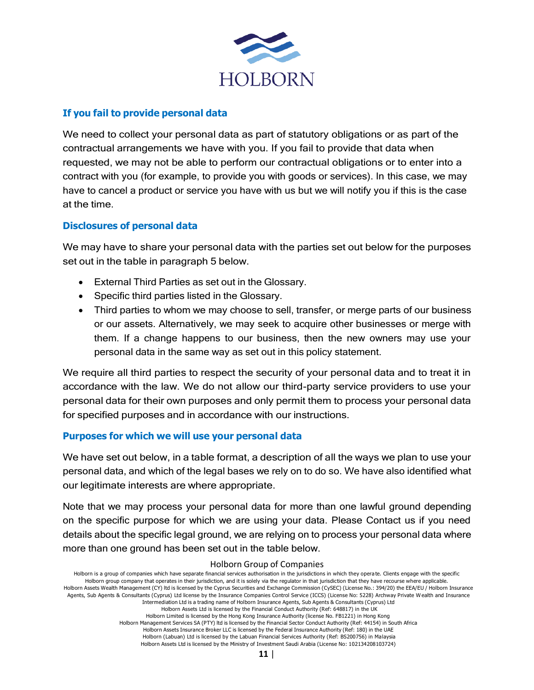

### **If you fail to provide personal data**

We need to collect your personal data as part of statutory obligations or as part of the contractual arrangements we have with you. If you fail to provide that data when requested, we may not be able to perform our contractual obligations or to enter into a contract with you (for example, to provide you with goods or services). In this case, we may have to cancel a product or service you have with us but we will notify you if this is the case at the time.

### **Disclosures of personal data**

We may have to share your personal data with the parties set out below for the purposes set out in the table in paragraph 5 below.

- External Third Parties as set out in the Glossary.
- Specific third parties listed in the Glossary.
- Third parties to whom we may choose to sell, transfer, or merge parts of our business or our assets. Alternatively, we may seek to acquire other businesses or merge with them. If a change happens to our business, then the new owners may use your personal data in the same way as set out in this policy statement.

We require all third parties to respect the security of your personal data and to treat it in accordance with the law. We do not allow our third-party service providers to use your personal data for their own purposes and only permit them to process your personal data for specified purposes and in accordance with our instructions.

### **Purposes for which we will use your personal data**

We have set out below, in a table format, a description of all the ways we plan to use your personal data, and which of the legal bases we rely on to do so. We have also identified what our legitimate interests are where appropriate.

Note that we may process your personal data for more than one lawful ground depending on the specific purpose for which we are using your data. Please Contact us if you need details about the specific legal ground, we are relying on to process your personal data where more than one ground has been set out in the table below.

#### Holborn Group of Companies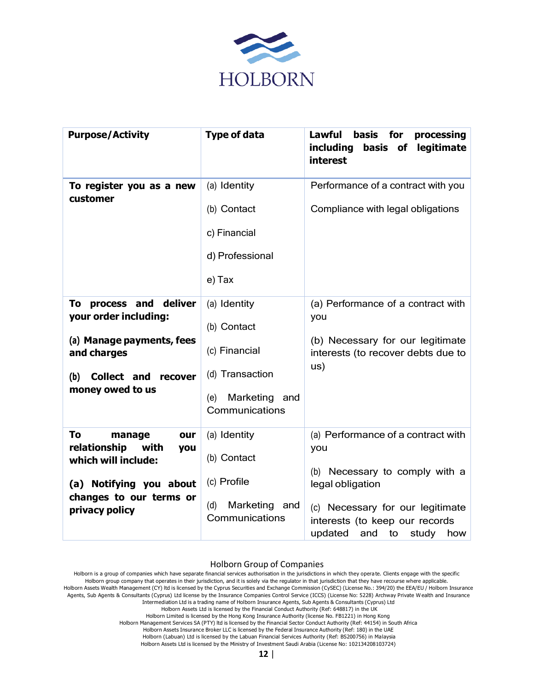

| <b>Purpose/Activity</b>                                                                                                                              | <b>Type of data</b>                                                                                       | Lawful<br>basis for<br>processing<br>including<br>basis of<br>legitimate<br>interest                                                                                                                          |
|------------------------------------------------------------------------------------------------------------------------------------------------------|-----------------------------------------------------------------------------------------------------------|---------------------------------------------------------------------------------------------------------------------------------------------------------------------------------------------------------------|
| To register you as a new<br>customer                                                                                                                 | (a) Identity<br>(b) Contact<br>c) Financial<br>d) Professional<br>e) Tax                                  | Performance of a contract with you<br>Compliance with legal obligations                                                                                                                                       |
| To process and deliver<br>your order including:<br>(a) Manage payments, fees<br>and charges<br>(b)<br><b>Collect and recover</b><br>money owed to us | (a) Identity<br>(b) Contact<br>(c) Financial<br>(d) Transaction<br>Marketing and<br>(e)<br>Communications | (a) Performance of a contract with<br>you<br>(b) Necessary for our legitimate<br>interests (to recover debts due to<br>US)                                                                                    |
| To<br>manage<br>our<br>relationship<br>with<br>you<br>which will include:<br>(a) Notifying you about<br>changes to our terms or<br>privacy policy    | (a) Identity<br>(b) Contact<br>(c) Profile<br>(d)<br>Marketing and<br>Communications                      | (a) Performance of a contract with<br>you<br>(b) Necessary to comply with a<br>legal obligation<br>(c) Necessary for our legitimate<br>interests (to keep our records<br>updated<br>and<br>study<br>how<br>to |

Holborn is a group of companies which have separate financial services authorisation in the jurisdictions in which they opera te. Clients engage with the specific Holborn group company that operates in their jurisdiction, and it is solely via the regulator in that jurisdiction that they have recourse where applicable. Holborn Assets Wealth Management (CY) ltd is licensed by the Cyprus Securities and Exchange Commission (CySEC) (License No.: 394/20) the EEA/EU / Holborn Insurance Agents, Sub Agents & Consultants (Cyprus) Ltd license by the Insurance Companies Control Service (ICCS) (License No: 5228) Archway Private W ealth and Insurance Intermediation Ltd is a trading name of Holborn Insurance Agents, Sub Agents & Consultants (Cyprus) Ltd Holborn Assets Ltd is licensed by the Financial Conduct Authority (Ref: 648817) in the UK Holborn Limited is licensed by the Hong Kong Insurance Authority (license No. FB1221) in Hong Kong Holborn Management Services SA (PTY) ltd is licensed by the Financial Sector Conduct Authority (Ref: 44154) in South Africa Holborn Assets Insurance Broker LLC is licensed by the Federal Insurance Authority (Ref: 180) in the UAE

Holborn (Labuan) Ltd is licensed by the Labuan Financial Services Authority (Ref: BS200756) in Malaysia Holborn Assets Ltd is licensed by the Ministry of Investment Saudi Arabia (License No: 102134208103724)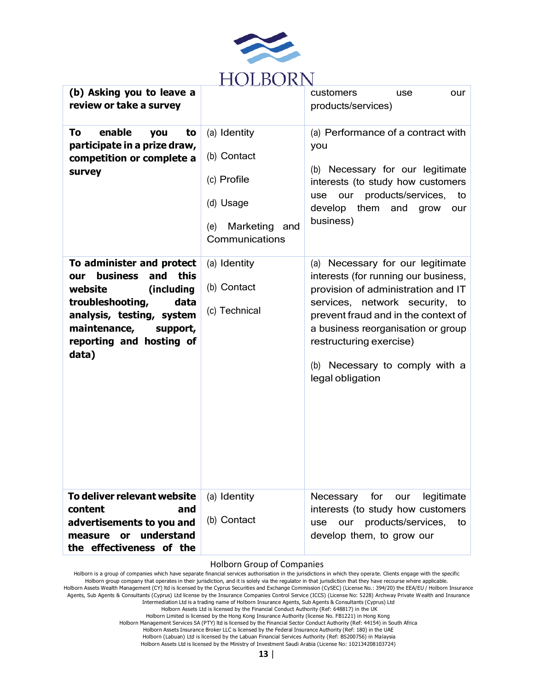

| (b) Asking you to leave a                                                                                                                                                                                             | 1 IULDUNIV                                                                                        | customers<br>use<br>our                                                                                                                                                                                                                                                                                        |
|-----------------------------------------------------------------------------------------------------------------------------------------------------------------------------------------------------------------------|---------------------------------------------------------------------------------------------------|----------------------------------------------------------------------------------------------------------------------------------------------------------------------------------------------------------------------------------------------------------------------------------------------------------------|
| review or take a survey                                                                                                                                                                                               |                                                                                                   | products/services)                                                                                                                                                                                                                                                                                             |
| enable<br>To<br>you<br>to<br>participate in a prize draw,<br>competition or complete a<br>survey                                                                                                                      | (a) Identity<br>(b) Contact<br>(c) Profile<br>(d) Usage<br>Marketing and<br>(e)<br>Communications | (a) Performance of a contract with<br>you<br>(b) Necessary for our legitimate<br>interests (to study how customers<br>products/services,<br>our<br><b>use</b><br>to<br>develop them<br>and<br>grow<br>our<br>business)                                                                                         |
| To administer and protect<br><b>business</b><br>and<br>this<br>our<br>(including<br>website<br>troubleshooting,<br>data<br>analysis, testing, system<br>maintenance,<br>support,<br>reporting and hosting of<br>data) | (a) Identity<br>(b) Contact<br>(c) Technical                                                      | (a) Necessary for our legitimate<br>interests (for running our business,<br>provision of administration and IT<br>services, network security, to<br>prevent fraud and in the context of<br>a business reorganisation or group<br>restructuring exercise)<br>(b) Necessary to comply with a<br>legal obligation |
| To deliver relevant website<br>content<br>and<br>advertisements to you and<br>understand<br>measure<br>or<br>the effectiveness of the                                                                                 | (a) Identity<br>(b) Contact                                                                       | for<br>Necessary<br>legitimate<br>our<br>interests (to study how customers<br>use our products/services,<br>to<br>develop them, to grow our                                                                                                                                                                    |

Holborn is a group of companies which have separate financial services authorisation in the jurisdictions in which they opera te. Clients engage with the specific Holborn group company that operates in their jurisdiction, and it is solely via the regulator in that jurisdiction that they have recourse where applicable. Holborn Assets Wealth Management (CY) ltd is licensed by the Cyprus Securities and Exchange Commission (CySEC) (License No.: 394/20) the EEA/EU / Holborn Insurance Agents, Sub Agents & Consultants (Cyprus) Ltd license by the Insurance Companies Control Service (ICCS) (License No: 5228) Archway Private W ealth and Insurance Intermediation Ltd is a trading name of Holborn Insurance Agents, Sub Agents & Consultants (Cyprus) Ltd Holborn Assets Ltd is licensed by the Financial Conduct Authority (Ref: 648817) in the UK

Holborn Limited is licensed by the Hong Kong Insurance Authority (license No. FB1221) in Hong Kong

Holborn Management Services SA (PTY) ltd is licensed by the Financial Sector Conduct Authority (Ref: 44154) in South Africa

Holborn Assets Insurance Broker LLC is licensed by the Federal Insurance Authority (Ref: 180) in the UAE Holborn (Labuan) Ltd is licensed by the Labuan Financial Services Authority (Ref: BS200756) in Malaysia Holborn Assets Ltd is licensed by the Ministry of Investment Saudi Arabia (License No: 102134208103724)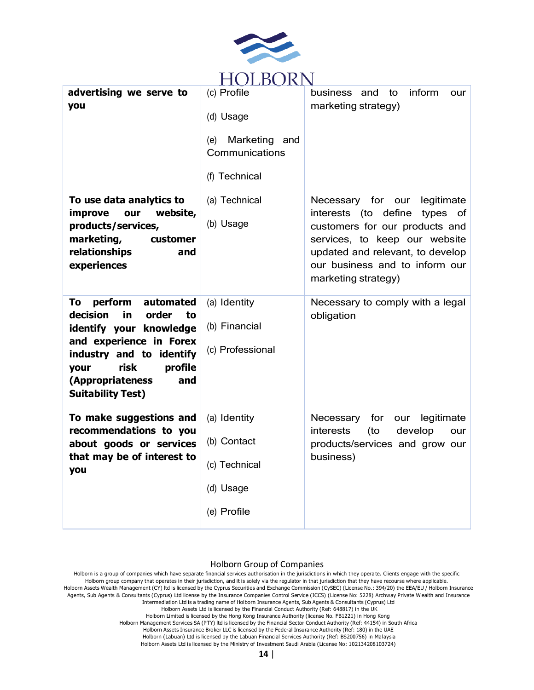| $ITAT$ D $\cap$ N $I$ |
|-----------------------|

|                                                                                                                                                                                                                                 | 1ULDUKIN                                                                            |                                                                                                                                                                                                                                                 |
|---------------------------------------------------------------------------------------------------------------------------------------------------------------------------------------------------------------------------------|-------------------------------------------------------------------------------------|-------------------------------------------------------------------------------------------------------------------------------------------------------------------------------------------------------------------------------------------------|
| advertising we serve to<br>you                                                                                                                                                                                                  | (c) Profile<br>(d) Usage<br>Marketing and<br>(e)<br>Communications<br>(f) Technical | inform<br>business<br>and<br>to<br>our<br>marketing strategy)                                                                                                                                                                                   |
| To use data analytics to<br>website,<br>improve<br>our<br>products/services,<br>marketing,<br>customer<br>relationships<br>and<br>experiences                                                                                   | (a) Technical<br>(b) Usage                                                          | Necessary for<br>legitimate<br>our<br>(to<br>define<br>interests<br>types<br>of<br>customers for our products and<br>services, to keep our website<br>updated and relevant, to develop<br>our business and to inform our<br>marketing strategy) |
| perform<br>To<br>automated<br>decision<br>in<br>order<br>to<br>identify your knowledge<br>and experience in Forex<br>industry and to identify<br>risk<br>profile<br>your<br>(Appropriateness<br>and<br><b>Suitability Test)</b> | (a) Identity<br>(b) Financial<br>(c) Professional                                   | Necessary to comply with a legal<br>obligation                                                                                                                                                                                                  |
| To make suggestions and<br>recommendations to you<br>about goods or services<br>that may be of interest to<br>you                                                                                                               | (a) Identity<br>(b) Contact<br>(c) Technical<br>(d) Usage<br>(e) Profile            | for<br>legitimate<br>Necessary<br>our<br>interests<br>$($ to<br>develop<br>our<br>products/services and grow our<br>business)                                                                                                                   |

Holborn is a group of companies which have separate financial services authorisation in the jurisdictions in which they opera te. Clients engage with the specific Holborn group company that operates in their jurisdiction, and it is solely via the regulator in that jurisdiction that they have recourse where applicable. Holborn Assets Wealth Management (CY) ltd is licensed by the Cyprus Securities and Exchange Commission (CySEC) (License No.: 394/20) the EEA/EU / Holborn Insurance Agents, Sub Agents & Consultants (Cyprus) Ltd license by the Insurance Companies Control Service (ICCS) (License No: 5228) Archway Private W ealth and Insurance Intermediation Ltd is a trading name of Holborn Insurance Agents, Sub Agents & Consultants (Cyprus) Ltd Holborn Assets Ltd is licensed by the Financial Conduct Authority (Ref: 648817) in the UK Holborn Limited is licensed by the Hong Kong Insurance Authority (license No. FB1221) in Hong Kong Holborn Management Services SA (PTY) ltd is licensed by the Financial Sector Conduct Authority (Ref: 44154) in South Africa Holborn Assets Insurance Broker LLC is licensed by the Federal Insurance Authority (Ref: 180) in the UAE Holborn (Labuan) Ltd is licensed by the Labuan Financial Services Authority (Ref: BS200756) in Malaysia Holborn Assets Ltd is licensed by the Ministry of Investment Saudi Arabia (License No: 102134208103724)

**14** |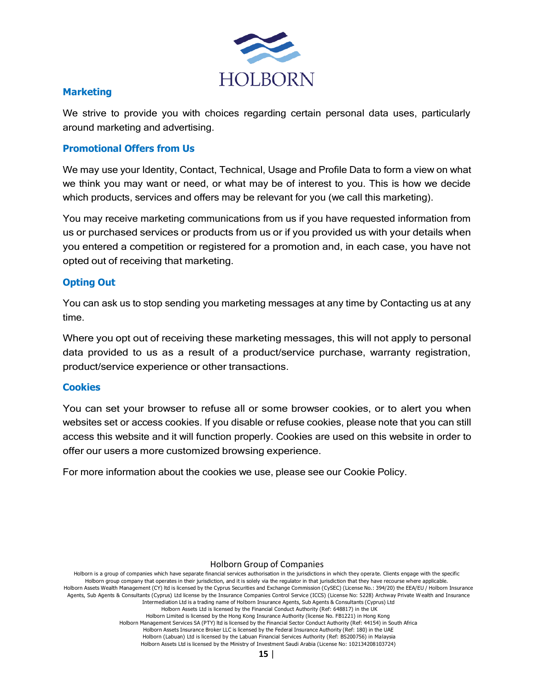

### **Marketing**

We strive to provide you with choices regarding certain personal data uses, particularly around marketing and advertising.

### **Promotional Offers from Us**

We may use your Identity, Contact, Technical, Usage and Profile Data to form a view on what we think you may want or need, or what may be of interest to you. This is how we decide which products, services and offers may be relevant for you (we call this marketing).

You may receive marketing communications from us if you have requested information from us or purchased services or products from us or if you provided us with your details when you entered a competition or registered for a promotion and, in each case, you have not opted out of receiving that marketing.

### **Opting Out**

You can ask us to stop sending you marketing messages at any time by Contacting us at any time.

Where you opt out of receiving these marketing messages, this will not apply to personal data provided to us as a result of a product/service purchase, warranty registration, product/service experience or other transactions.

### **Cookies**

You can set your browser to refuse all or some browser cookies, or to alert you when websites set or access cookies. If you disable or refuse cookies, please note that you can still access this website and it will function properly. Cookies are used on this website in order to offer our users a more customized browsing experience.

For more information about the cookies we use, please see our Cookie Policy.

#### Holborn Group of Companies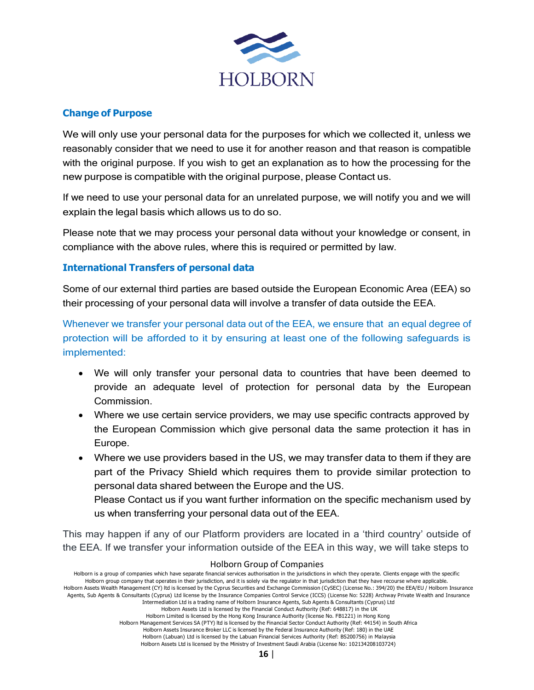

### **Change of Purpose**

We will only use your personal data for the purposes for which we collected it, unless we reasonably consider that we need to use it for another reason and that reason is compatible with the original purpose. If you wish to get an explanation as to how the processing for the new purpose is compatible with the original purpose, please Contact us.

If we need to use your personal data for an unrelated purpose, we will notify you and we will explain the legal basis which allows us to do so.

Please note that we may process your personal data without your knowledge or consent, in compliance with the above rules, where this is required or permitted by law.

### **International Transfers of personal data**

Some of our external third parties are based outside the European Economic Area (EEA) so their processing of your personal data will involve a transfer of data outside the EEA.

Whenever we transfer your personal data out of the EEA, we ensure that an equal degree of protection will be afforded to it by ensuring at least one of the following safeguards is implemented:

- We will only transfer your personal data to countries that have been deemed to provide an adequate level of protection for personal data by the European Commission.
- Where we use certain service providers, we may use specific contracts approved by the European Commission which give personal data the same protection it has in Europe.
- Where we use providers based in the US, we may transfer data to them if they are part of the Privacy Shield which requires them to provide similar protection to personal data shared between the Europe and the US.

Please Contact us if you want further information on the specific mechanism used by us when transferring your personal data out of the EEA.

This may happen if any of our Platform providers are located in a 'third country' outside of the EEA. If we transfer your information outside of the EEA in this way, we will take steps to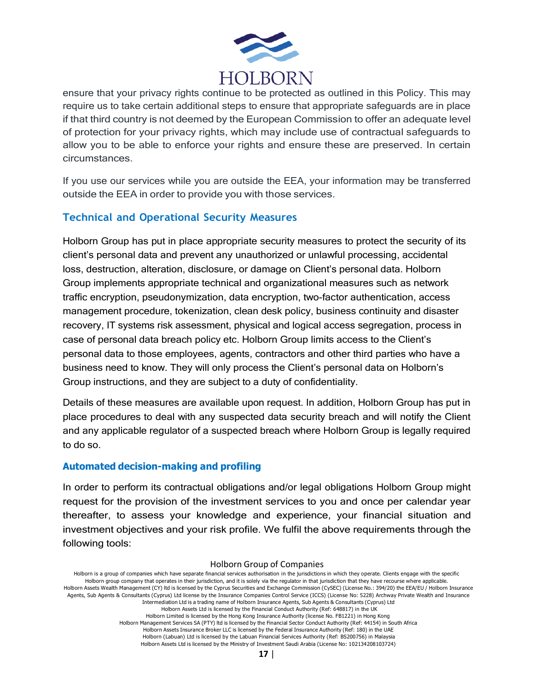

ensure that your privacy rights continue to be protected as outlined in this Policy. This may require us to take certain additional steps to ensure that appropriate safeguards are in place if that third country is not deemed by the European Commission to offer an adequate level of protection for your privacy rights, which may include use of contractual safeguards to allow you to be able to enforce your rights and ensure these are preserved. In certain circumstances.

If you use our services while you are outside the EEA, your information may be transferred outside the EEA in order to provide you with those services.

## **Technical and Operational Security Measures**

Holborn Group has put in place appropriate security measures to protect the security of its client's personal data and prevent any unauthorized or unlawful processing, accidental loss, destruction, alteration, disclosure, or damage on Client's personal data. Holborn Group implements appropriate technical and organizational measures such as network traffic encryption, pseudonymization, data encryption, two-factor authentication, access management procedure, tokenization, clean desk policy, business continuity and disaster recovery, IT systems risk assessment, physical and logical access segregation, process in case of personal data breach policy etc. Holborn Group limits access to the Client's personal data to those employees, agents, contractors and other third parties who have a business need to know. They will only process the Client's personal data on Holborn's Group instructions, and they are subject to a duty of confidentiality.

Details of these measures are available upon request. In addition, Holborn Group has put in place procedures to deal with any suspected data security breach and will notify the Client and any applicable regulator of a suspected breach where Holborn Group is legally required to do so.

### **Automated decision-making and profiling**

In order to perform its contractual obligations and/or legal obligations Holborn Group might request for the provision of the investment services to you and once per calendar year thereafter, to assess your knowledge and experience, your financial situation and investment objectives and your risk profile. We fulfil the above requirements through the following tools:

#### Holborn Group of Companies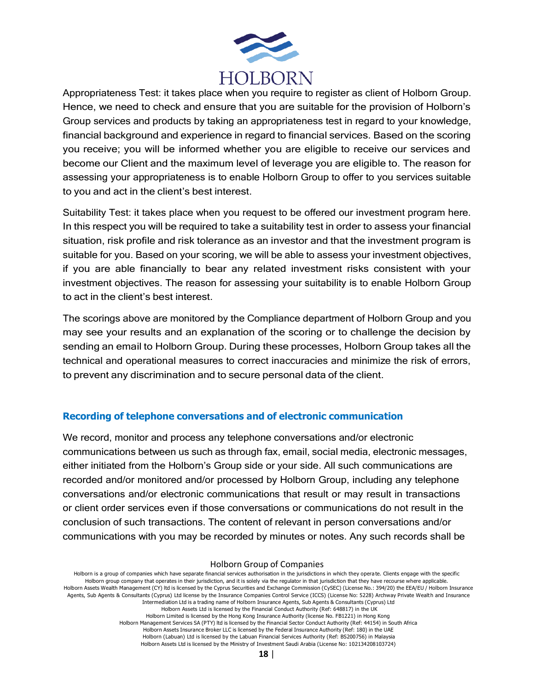

Appropriateness Test: it takes place when you require to register as client of Holborn Group. Hence, we need to check and ensure that you are suitable for the provision of Holborn's Group services and products by taking an appropriateness test in regard to your knowledge, financial background and experience in regard to financial services. Based on the scoring you receive; you will be informed whether you are eligible to receive our services and become our Client and the maximum level of leverage you are eligible to. The reason for assessing your appropriateness is to enable Holborn Group to offer to you services suitable to you and act in the client's best interest.

Suitability Test: it takes place when you request to be offered our investment program here. In this respect you will be required to take a suitability test in order to assess your financial situation, risk profile and risk tolerance as an investor and that the investment program is suitable for you. Based on your scoring, we will be able to assess your investment objectives, if you are able financially to bear any related investment risks consistent with your investment objectives. The reason for assessing your suitability is to enable Holborn Group to act in the client's best interest.

The scorings above are monitored by the Compliance department of Holborn Group and you may see your results and an explanation of the scoring or to challenge the decision by sending an email to Holborn Group. During these processes, Holborn Group takes all the technical and operational measures to correct inaccuracies and minimize the risk of errors, to prevent any discrimination and to secure personal data of the client.

### **Recording of telephone conversations and of electronic communication**

We record, monitor and process any telephone conversations and/or electronic communications between us such as through fax, email, social media, electronic messages, either initiated from the Holborn's Group side or your side. All such communications are recorded and/or monitored and/or processed by Holborn Group, including any telephone conversations and/or electronic communications that result or may result in transactions or client order services even if those conversations or communications do not result in the conclusion of such transactions. The content of relevant in person conversations and/or communications with you may be recorded by minutes or notes. Any such records shall be

#### Holborn Group of Companies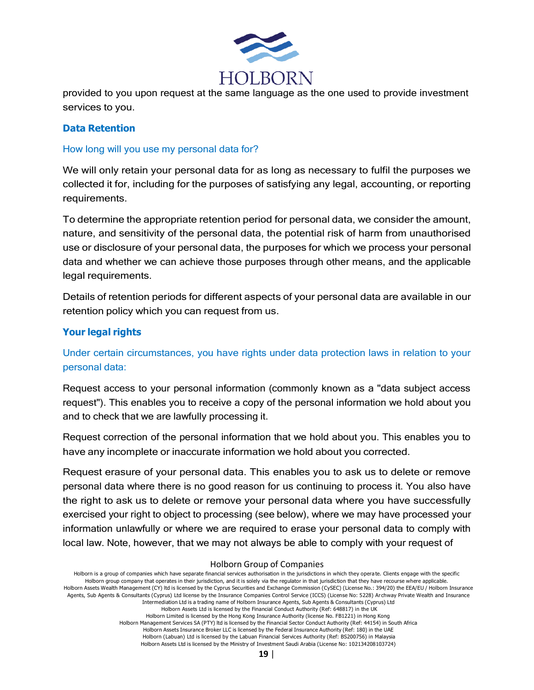

provided to you upon request at the same language as the one used to provide investment services to you.

### **Data Retention**

### How long will you use my personal data for?

We will only retain your personal data for as long as necessary to fulfil the purposes we collected it for, including for the purposes of satisfying any legal, accounting, or reporting requirements.

To determine the appropriate retention period for personal data, we consider the amount, nature, and sensitivity of the personal data, the potential risk of harm from unauthorised use or disclosure of your personal data, the purposes for which we process your personal data and whether we can achieve those purposes through other means, and the applicable legal requirements.

Details of retention periods for different aspects of your personal data are available in our retention policy which you can request from us.

### **Your legal rights**

Under certain circumstances, you have rights under data protection laws in relation to your personal data:

Request access to your personal information (commonly known as a "data subject access request"). This enables you to receive a copy of the personal information we hold about you and to check that we are lawfully processing it.

Request correction of the personal information that we hold about you. This enables you to have any incomplete or inaccurate information we hold about you corrected.

Request erasure of your personal data. This enables you to ask us to delete or remove personal data where there is no good reason for us continuing to process it. You also have the right to ask us to delete or remove your personal data where you have successfully exercised your right to object to processing (see below), where we may have processed your information unlawfully or where we are required to erase your personal data to comply with local law. Note, however, that we may not always be able to comply with your request of

#### Holborn Group of Companies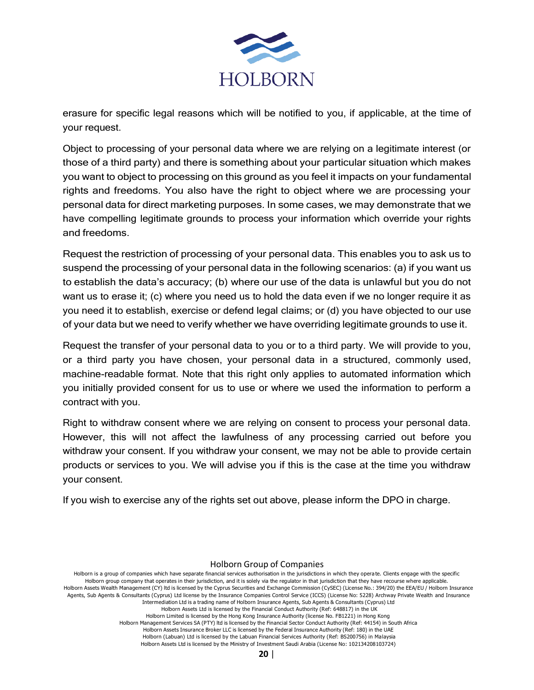

erasure for specific legal reasons which will be notified to you, if applicable, at the time of your request.

Object to processing of your personal data where we are relying on a legitimate interest (or those of a third party) and there is something about your particular situation which makes you want to object to processing on this ground as you feel it impacts on your fundamental rights and freedoms. You also have the right to object where we are processing your personal data for direct marketing purposes. In some cases, we may demonstrate that we have compelling legitimate grounds to process your information which override your rights and freedoms.

Request the restriction of processing of your personal data. This enables you to ask us to suspend the processing of your personal data in the following scenarios: (a) if you want us to establish the data's accuracy; (b) where our use of the data is unlawful but you do not want us to erase it; (c) where you need us to hold the data even if we no longer require it as you need it to establish, exercise or defend legal claims; or (d) you have objected to our use of your data but we need to verify whether we have overriding legitimate grounds to use it.

Request the transfer of your personal data to you or to a third party. We will provide to you, or a third party you have chosen, your personal data in a structured, commonly used, machine-readable format. Note that this right only applies to automated information which you initially provided consent for us to use or where we used the information to perform a contract with you.

Right to withdraw consent where we are relying on consent to process your personal data. However, this will not affect the lawfulness of any processing carried out before you withdraw your consent. If you withdraw your consent, we may not be able to provide certain products or services to you. We will advise you if this is the case at the time you withdraw your consent.

If you wish to exercise any of the rights set out above, please inform the DPO in charge.

#### Holborn Group of Companies